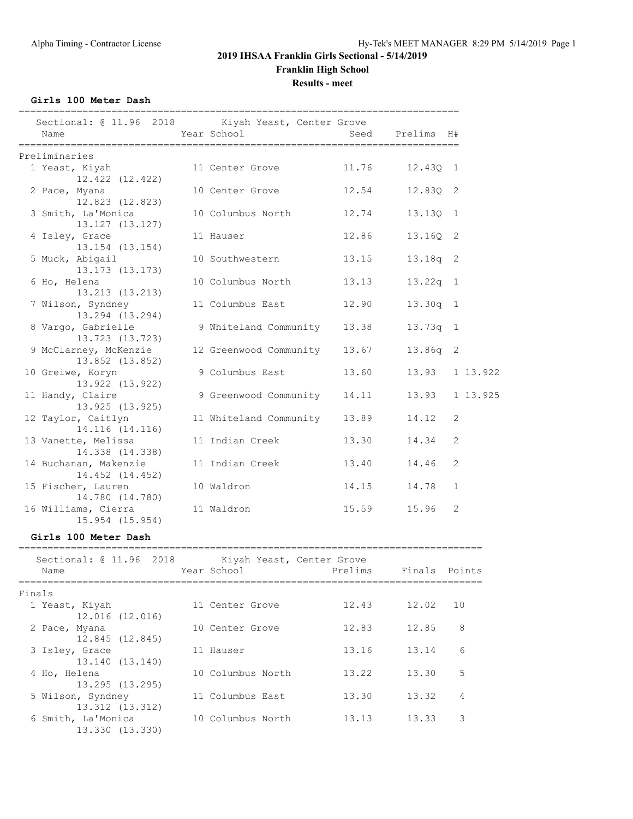**Results - meet**

**Girls 100 Meter Dash**

| Sectional: @ 11.96 2018 Kiyah Yeast, Center Grove<br>Name | Year School                 |       | Seed Prelims H# |                |
|-----------------------------------------------------------|-----------------------------|-------|-----------------|----------------|
| Preliminaries                                             |                             |       |                 |                |
| 1 Yeast, Kiyah<br>12.422 (12.422)                         | 11 Center Grove             | 11.76 | 12.430 1        |                |
| 2 Pace, Myana<br>12.823 (12.823)                          | 10 Center Grove             | 12.54 | 12.83Q 2        |                |
| 3 Smith, La'Monica<br>13.127 (13.127)                     | 10 Columbus North           | 12.74 | 13.130 1        |                |
| 4 Isley, Grace<br>13.154 (13.154)                         | 11 Hauser                   | 12.86 | 13.16Q 2        |                |
| 5 Muck, Abigail<br>13.173 (13.173)                        | 10 Southwestern             | 13.15 | 13.18q 2        |                |
| 6 Ho, Helena<br>13.213 (13.213)                           | 10 Columbus North           | 13.13 | $13.22q$ 1      |                |
| 7 Wilson, Syndney<br>13.294 (13.294)                      | 11 Columbus East            | 12.90 | $13.30q$ 1      |                |
| 8 Vargo, Gabrielle<br>13.723 (13.723)                     | 9 Whiteland Community 13.38 |       | 13.73q 1        |                |
| 9 McClarney, McKenzie<br>13.852 (13.852)                  | 12 Greenwood Community      | 13.67 | 13.86q 2        |                |
| 10 Greiwe, Koryn<br>13.922 (13.922)                       | 9 Columbus East             | 13.60 | 13.93           | 1 13.922       |
| 11 Handy, Claire<br>13.925 (13.925)                       | 9 Greenwood Community       | 14.11 | 13.93           | 1 13.925       |
| 12 Taylor, Caitlyn<br>14.116 (14.116)                     | 11 Whiteland Community      | 13.89 | 14.12           | 2              |
| 13 Vanette, Melissa<br>14.338 (14.338)                    | 11 Indian Creek             | 13.30 | 14.34           | $\overline{2}$ |
| 14 Buchanan, Makenzie<br>14.452 (14.452)                  | 11 Indian Creek             | 13.40 | 14.46           | $\overline{2}$ |
| 15 Fischer, Lauren<br>14.780 (14.780)                     | 10 Waldron                  | 14.15 | 14.78           | $\mathbf{1}$   |
| 16 Williams, Cierra<br>15.954 (15.954)                    | 11 Waldron                  | 15.59 | 15.96           | 2              |

#### **Girls 100 Meter Dash**

| Sectional: @ 11.96 2018<br>Name | Year School       | Kiyah Yeast, Center Grove<br>Prelims | Finals Points |    |
|---------------------------------|-------------------|--------------------------------------|---------------|----|
|                                 |                   |                                      |               |    |
| Finals                          |                   |                                      |               |    |
| 1 Yeast, Kiyah                  | 11 Center Grove   | 12.43                                | 12.02         | 10 |
| 12.016 (12.016)                 |                   |                                      |               |    |
| 2 Pace, Myana                   | 10 Center Grove   | 12.83                                | 12.85         | 8  |
| 12.845 (12.845)                 |                   |                                      |               |    |
| 3 Isley, Grace                  | 11 Hauser         | 13.16                                | 13.14         | 6  |
| 13.140 (13.140)                 |                   |                                      |               |    |
| 4 Ho, Helena                    | 10 Columbus North | 13.22                                | 13.30         | 5  |
| 13.295 (13.295)                 |                   |                                      |               |    |
| 5 Wilson, Syndney               | 11 Columbus East  | 13.30                                | 13.32         | 4  |
| 13.312 (13.312)                 |                   |                                      |               |    |
| 6 Smith, La'Monica              | 10 Columbus North | 13.13                                | 13.33         | 3  |
| 13.330 (13.330)                 |                   |                                      |               |    |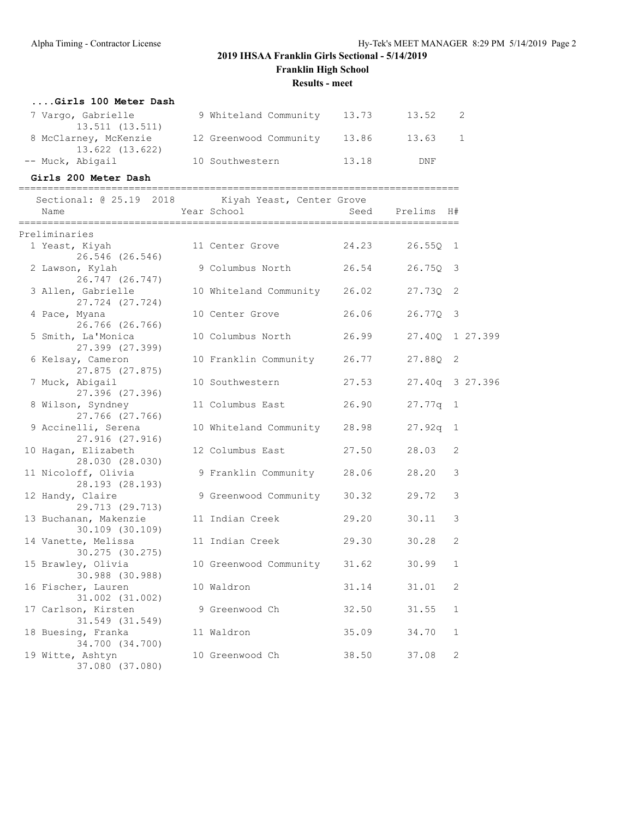**Franklin High School**

**Results - meet**

| Girls 100 Meter Dash                     |                              |       |         |  |
|------------------------------------------|------------------------------|-------|---------|--|
| 7 Vargo, Gabrielle<br>13.511 (13.511)    | 9 Whiteland Community 13.73  |       | 13.52   |  |
| 8 McClarney, McKenzie<br>13.622 (13.622) | 12 Greenwood Community 13.86 |       | 13.63 1 |  |
| -- Muck, Abigail                         | 10 Southwestern              | 13.18 | DNF     |  |

### **Girls 200 Meter Dash**

============================================================================ Sectional: @ 25.19 2018 Kiyah Yeast, Center Grove

| Name                                     | Year School                  | Seed  | Prelims         | H#             |  |
|------------------------------------------|------------------------------|-------|-----------------|----------------|--|
| Preliminaries                            |                              |       |                 |                |  |
| 1 Yeast, Kiyah<br>26.546 (26.546)        | 11 Center Grove              | 24.23 | $26.55Q$ 1      |                |  |
| 2 Lawson, Kylah<br>26.747 (26.747)       | 9 Columbus North             | 26.54 | 26.75Q          | 3              |  |
| 3 Allen, Gabrielle<br>27.724 (27.724)    | 10 Whiteland Community 26.02 |       | 27.73Q          | 2              |  |
| 4 Pace, Myana<br>26.766 (26.766)         | 10 Center Grove              | 26.06 | $26.77Q$ 3      |                |  |
| 5 Smith, La'Monica<br>27.399 (27.399)    | 10 Columbus North            | 26.99 | 27.400          | 1 27.399       |  |
| 6 Kelsay, Cameron<br>27.875 (27.875)     | 10 Franklin Community        | 26.77 | 27.880          | 2              |  |
| 7 Muck, Abigail<br>27.396 (27.396)       | 10 Southwestern              | 27.53 | 27.40q 3 27.396 |                |  |
| 8 Wilson, Syndney<br>27.766 (27.766)     | 11 Columbus East             | 26.90 | $27.77q$ 1      |                |  |
| 9 Accinelli, Serena<br>27.916 (27.916)   | 10 Whiteland Community       | 28.98 | 27.92q          | $\overline{1}$ |  |
| 10 Hagan, Elizabeth<br>28.030 (28.030)   | 12 Columbus East             | 27.50 | 28.03           | 2              |  |
| 11 Nicoloff, Olivia<br>28.193 (28.193)   | 9 Franklin Community         | 28.06 | 28.20           | 3              |  |
| 12 Handy, Claire<br>29.713 (29.713)      | 9 Greenwood Community        | 30.32 | 29.72           | 3              |  |
| 13 Buchanan, Makenzie<br>30.109 (30.109) | 11 Indian Creek              | 29.20 | 30.11           | 3              |  |
| 14 Vanette, Melissa<br>30.275 (30.275)   | 11 Indian Creek              | 29.30 | 30.28           | 2              |  |
| 15 Brawley, Olivia<br>30.988 (30.988)    | 10 Greenwood Community 31.62 |       | 30.99           | $\mathbf{1}$   |  |
| 16 Fischer, Lauren<br>31.002 (31.002)    | 10 Waldron                   | 31.14 | 31.01           | 2              |  |
| 17 Carlson, Kirsten<br>31.549 (31.549)   | 9 Greenwood Ch               | 32.50 | 31.55           | $\mathbf{1}$   |  |
| 18 Buesing, Franka<br>34.700 (34.700)    | 11 Waldron                   | 35.09 | 34.70           | $\mathbf{1}$   |  |
| 19 Witte, Ashtyn<br>37.080 (37.080)      | 10 Greenwood Ch              | 38.50 | 37.08           | 2              |  |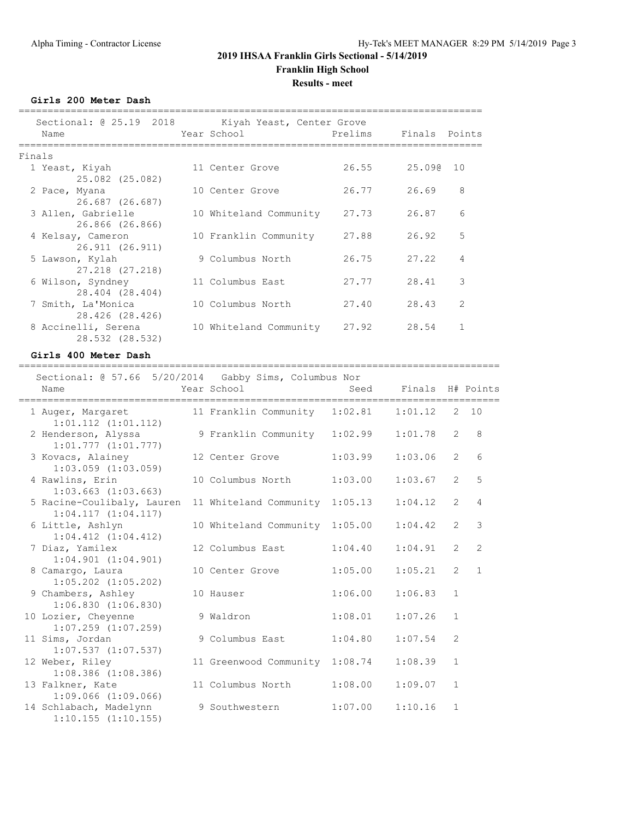### **2019 IHSAA Franklin Girls Sectional - 5/14/2019 Franklin High School Results - meet**

**Girls 200 Meter Dash**

| Sectional: @ 25.19 2018 Kiyah Yeast, Center Grove<br>Name | Year School            | Prelims Finals Points |        |                |
|-----------------------------------------------------------|------------------------|-----------------------|--------|----------------|
| Finals                                                    |                        |                       |        |                |
| 1 Yeast, Kiyah<br>25.082 (25.082)                         | 11 Center Grove        | 26.55                 | 25.090 | 10             |
| 2 Pace, Myana<br>26.687 (26.687)                          | 10 Center Grove        | 26.77                 | 26.69  | 8              |
| 3 Allen, Gabrielle<br>26.866 (26.866)                     | 10 Whiteland Community | 27.73                 | 26.87  | 6              |
| 4 Kelsay, Cameron<br>26.911 (26.911)                      | 10 Franklin Community  | 27.88                 | 26.92  | 5              |
| 5 Lawson, Kylah<br>27.218 (27.218)                        | 9 Columbus North       | 26.75                 | 27.22  | $\overline{4}$ |
| 6 Wilson, Syndney<br>28.404 (28.404)                      | 11 Columbus East       | 27.77                 | 28.41  | 3              |
| 7 Smith, La'Monica<br>28.426 (28.426)                     | 10 Columbus North      | 27.40                 | 28.43  | $\overline{2}$ |
| 8 Accinelli, Serena<br>28.532 (28.532)                    | 10 Whiteland Community | 27.92                 | 28.54  |                |

**Girls 400 Meter Dash**

| Sectional: @ 57.66 5/20/2014 Gabby Sims, Columbus Nor |                                |         |                  |                |                |
|-------------------------------------------------------|--------------------------------|---------|------------------|----------------|----------------|
| Name                                                  | Year School                    | Seed    | Finals H# Points |                |                |
| 1 Auger, Margaret<br>$1:01.112$ $(1:01.112)$          | 11 Franklin Community          | 1:02.81 | 1:01.12          | $\overline{2}$ | 10             |
| 2 Henderson, Alyssa<br>$1:01.777$ $(1:01.777)$        | 9 Franklin Community           | 1:02.99 | 1:01.78          | $\overline{2}$ | 8              |
| 3 Kovacs, Alainey<br>$1:03.059$ $(1:03.059)$          | 12 Center Grove                | 1:03.99 | 1:03.06          | $\overline{2}$ | 6              |
| 4 Rawlins, Erin<br>$1:03.663$ $(1:03.663)$            | 10 Columbus North              | 1:03.00 | 1:03.67          | $\overline{2}$ | 5              |
| 5 Racine-Coulibaly, Lauren<br>1:04.117(1:04.117)      | 11 Whiteland Community 1:05.13 |         | 1:04.12          | 2              | 4              |
| 6 Little, Ashlyn<br>$1:04.412$ $(1:04.412)$           | 10 Whiteland Community 1:05.00 |         | 1:04.42          | 2              | 3              |
| 7 Diaz, Yamilex<br>$1:04.901$ $(1:04.901)$            | 12 Columbus East               | 1:04.40 | 1:04.91          | $\overline{2}$ | $\overline{2}$ |
| 8 Camargo, Laura<br>$1:05.202$ $(1:05.202)$           | 10 Center Grove                | 1:05.00 | 1:05.21          | $\overline{2}$ | $\mathbf{1}$   |
| 9 Chambers, Ashley<br>$1:06.830$ $(1:06.830)$         | 10 Hauser                      | 1:06.00 | 1:06.83          | $\mathbf{1}$   |                |
| 10 Lozier, Cheyenne<br>$1:07.259$ $(1:07.259)$        | 9 Waldron                      | 1:08.01 | 1:07.26          | $\mathbf{1}$   |                |
| 11 Sims, Jordan<br>$1:07.537$ $(1:07.537)$            | 9 Columbus East                | 1:04.80 | 1:07.54          | $\overline{2}$ |                |
| 12 Weber, Riley<br>$1:08.386$ $(1:08.386)$            | 11 Greenwood Community 1:08.74 |         | 1:08.39          | $\mathbf{1}$   |                |
| 13 Falkner, Kate<br>$1:09.066$ $(1:09.066)$           | 11 Columbus North              | 1:08.00 | 1:09.07          | $\mathbf{1}$   |                |
| 14 Schlabach, Madelynn<br>$1:10.155$ $(1:10.155)$     | 9 Southwestern                 | 1:07.00 | 1:10.16          | $\mathbf{1}$   |                |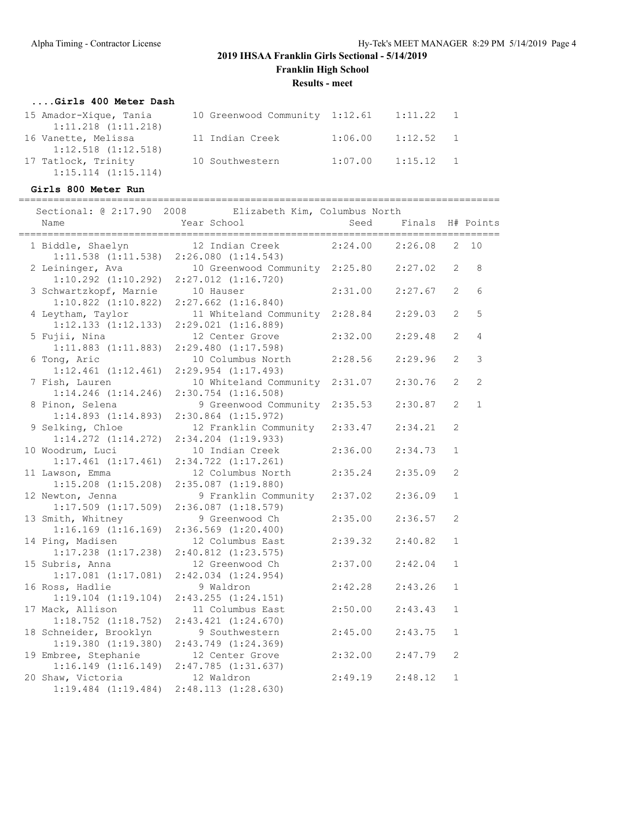**Franklin High School**

**Results - meet**

#### **....Girls 400 Meter Dash**

| 15 Amador-Xique, Tania                         | 10 Greenwood Community 1:12.61 |         | 1:11.22     |  |
|------------------------------------------------|--------------------------------|---------|-------------|--|
| $1:11.218$ $(1:11.218)$<br>16 Vanette, Melissa | 11 Indian Creek                | 1:06.00 | $1:12.52$ 1 |  |
| $1:12.518$ $(1:12.518)$                        |                                |         |             |  |
| 17 Tatlock, Trinity<br>$1:15.114$ $(1:15.114)$ | 10 Southwestern                | 1:07.00 | $1:15.12$ 1 |  |

### **Girls 800 Meter Run**

=================================================================================== Sectional: @ 2:17.90 2008 Elizabeth Kim, Columbus North

| Name                    | DIILOWCCH KIM/ COIGHOUD NOI CH<br>Year School | Seed    | Finals  |                       | H# Points    |
|-------------------------|-----------------------------------------------|---------|---------|-----------------------|--------------|
| 1 Biddle, Shaelyn       | 12 Indian Creek 2:24.00 2:26.08               |         |         | $\mathbf{2}^{\prime}$ | 10           |
| $1:11.538$ $(1:11.538)$ | 2:26.080(1:14.543)                            |         |         |                       |              |
| 2 Leininger, Ava        | 10 Greenwood Community 2:25.80                |         | 2:27.02 | 2                     | 8            |
| $1:10.292$ $(1:10.292)$ | $2:27.012$ $(1:16.720)$                       |         |         |                       |              |
| 3 Schwartzkopf, Marnie  | 10 Hauser                                     | 2:31.00 | 2:27.67 | $\overline{2}$        | 6            |
| $1:10.822$ $(1:10.822)$ | $2:27.662$ $(1:16.840)$                       |         |         |                       |              |
| 4 Leytham, Taylor       | 11 Whiteland Community 2:28.84                |         | 2:29.03 | $\overline{2}$        | 5            |
| $1:12.133$ $(1:12.133)$ | $2:29.021$ $(1:16.889)$                       |         |         |                       |              |
| 5 Fujii, Nina           | 12 Center Grove                               | 2:32.00 | 2:29.48 | $\overline{2}$        | 4            |
| $1:11.883$ $(1:11.883)$ | $2:29.480$ $(1:17.598)$                       |         |         |                       |              |
| 6 Tong, Aric            | 10 Columbus North                             | 2:28.56 | 2:29.96 | $\overline{2}$        | 3            |
| $1:12.461$ $(1:12.461)$ | 2:29.954 (1:17.493)                           |         |         |                       |              |
| 7 Fish, Lauren          | 10 Whiteland Community 2:31.07                |         | 2:30.76 | 2                     | 2            |
| $1:14.246$ $(1:14.246)$ | $2:30.754$ $(1:16.508)$                       |         |         |                       |              |
| 8 Pinon, Selena         | 9 Greenwood Community 2:35.53                 |         | 2:30.87 | 2                     | $\mathbf{1}$ |
| $1:14.893$ $(1:14.893)$ | $2:30.864$ $(1:15.972)$                       |         |         |                       |              |
| 9 Selking, Chloe        | 12 Franklin Community                         | 2:33.47 | 2:34.21 | $\overline{2}$        |              |
| $1:14.272$ $(1:14.272)$ | 2:34.204 (1:19.933)                           |         |         |                       |              |
| 10 Woodrum, Luci        | 10 Indian Creek                               | 2:36.00 | 2:34.73 | $\mathbf{1}$          |              |
| $1:17.461$ $(1:17.461)$ | $2:34.722$ $(1:17.261)$                       |         |         |                       |              |
| 11 Lawson, Emma         | 12 Columbus North                             | 2:35.24 | 2:35.09 | 2                     |              |
| $1:15.208$ $(1:15.208)$ | $2:35.087$ $(1:19.880)$                       |         |         |                       |              |
| 12 Newton, Jenna        | 9 Franklin Community                          | 2:37.02 | 2:36.09 | $\mathbf{1}$          |              |
| $1:17.509$ $(1:17.509)$ | $2:36.087$ $(1:18.579)$                       |         |         |                       |              |
| 13 Smith, Whitney       | 9 Greenwood Ch                                | 2:35.00 | 2:36.57 | 2                     |              |
| $1:16.169$ $(1:16.169)$ | $2:36.569$ $(1:20.400)$                       |         |         |                       |              |
| 14 Ping, Madisen        | 12 Columbus East                              | 2:39.32 | 2:40.82 | $\mathbf{1}$          |              |
| $1:17.238$ $(1:17.238)$ | $2:40.812$ $(1:23.575)$                       |         |         |                       |              |
| 15 Subris, Anna         | 12 Greenwood Ch                               | 2:37.00 | 2:42.04 | $\mathbf{1}$          |              |
| $1:17.081$ $(1:17.081)$ | $2:42.034$ $(1:24.954)$                       |         |         |                       |              |
| 16 Ross, Hadlie         | 9 Waldron                                     | 2:42.28 | 2:43.26 | $\mathbf{1}$          |              |
| $1:19.104$ $(1:19.104)$ | $2:43.255$ $(1:24.151)$                       |         |         |                       |              |
| 17 Mack, Allison        | 11 Columbus East                              | 2:50.00 | 2:43.43 | $\mathbf{1}$          |              |
| $1:18.752$ $(1:18.752)$ | $2:43.421$ $(1:24.670)$                       |         |         |                       |              |
| 18 Schneider, Brooklyn  | 9 Southwestern                                | 2:45.00 | 2:43.75 | $\mathbf{1}$          |              |
| $1:19.380$ $(1:19.380)$ | $2:43.749$ $(1:24.369)$                       |         |         |                       |              |
| 19 Embree, Stephanie    | 12 Center Grove                               | 2:32.00 | 2:47.79 | 2                     |              |
| 1:16.149(1:16.149)      | 2:47.785(1:31.637)                            |         |         |                       |              |
| 20 Shaw, Victoria       | 12 Waldron                                    | 2:49.19 | 2:48.12 | $\mathbf{1}$          |              |
| $1:19.484$ $(1:19.484)$ | 2:48.113(1:28.630)                            |         |         |                       |              |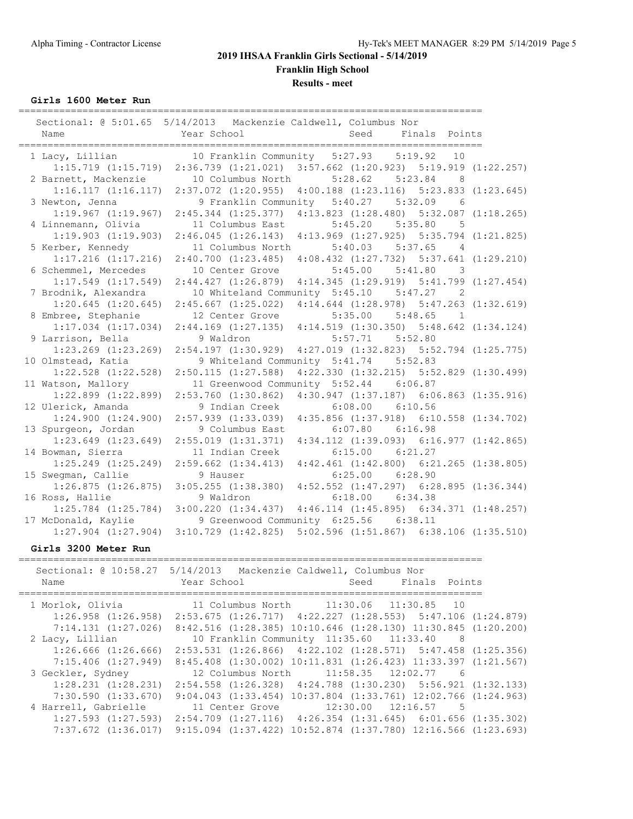**Results - meet**

**Girls 1600 Meter Run**

|                                            | Sectional: 0 5:01.65 5/14/2013 Mackenzie Caldwell, Columbus Nor                 |         |                                                 |                |  |
|--------------------------------------------|---------------------------------------------------------------------------------|---------|-------------------------------------------------|----------------|--|
| Name                                       | Year School                                                                     | Seed    | Finals Points                                   |                |  |
|                                            | 10 Franklin Community 5:27.93 5:19.92                                           |         |                                                 | 10             |  |
| 1 Lacy, Lillian<br>$1:15.719$ $(1:15.719)$ | 2:36.739 (1:21.021) 3:57.662 (1:20.923) 5:19.919 (1:22.257)                     |         |                                                 |                |  |
| 2 Barnett, Mackenzie                       | 10 Columbus North                                                               |         | $5:28.62$ $5:23.84$                             | $_{8}$         |  |
|                                            | 1:16.117 (1:16.117) 2:37.072 (1:20.955) 4:00.188 (1:23.116) 5:23.833 (1:23.645) |         |                                                 |                |  |
| 3 Newton, Jenna                            | 9 Franklin Community 5:40.27 5:32.09                                            |         |                                                 | - 6            |  |
| $1:19.967$ $(1:19.967)$                    | 2:45.344 (1:25.377) 4:13.823 (1:28.480) 5:32.087 (1:18.265)                     |         |                                                 |                |  |
| 4 Linnemann, Olivia                        | 11 Columbus East                                                                |         | $5:45.20$ $5:35.80$                             | - 5            |  |
| 1:19.903(1:19.903)                         | $2:46.045$ (1:26.143) $4:13.969$ (1:27.925) 5:35.794 (1:21.825)                 |         |                                                 |                |  |
| 5 Kerber, Kennedy                          | 11 Columbus North                                                               |         | 5:40.03 5:37.65                                 | $\overline{4}$ |  |
| $1:17.216$ $(1:17.216)$                    | $2:40.700$ $(1:23.485)$ $4:08.432$ $(1:27.732)$ $5:37.641$ $(1:29.210)$         |         |                                                 |                |  |
| 6 Schemmel, Mercedes                       | 10 Center Grove                                                                 |         | $5:45.00$ $5:41.80$                             | -3             |  |
| $1:17.549$ $(1:17.549)$                    | $2:44.427$ $(1:26.879)$ $4:14.345$ $(1:29.919)$ $5:41.799$ $(1:27.454)$         |         |                                                 |                |  |
| 7 Brodnik, Alexandra                       | 10 Whiteland Community 5:45.10 5:47.27                                          |         |                                                 | $\overline{2}$ |  |
| $1:20.645$ $(1:20.645)$                    | $2:45.667$ $(1:25.022)$                                                         |         | $4:14.644$ $(1:28.978)$ $5:47.263$ $(1:32.619)$ |                |  |
| 8 Embree, Stephanie                        | 12 Center Grove                                                                 |         | $5:35.00$ $5:48.65$                             | $\overline{1}$ |  |
| $1:17.034$ $(1:17.034)$                    | 2:44.169 (1:27.135) 4:14.519 (1:30.350) 5:48.642 (1:34.124)                     |         |                                                 |                |  |
| 9 Larrison, Bella                          | 9 Waldron                                                                       | 5:57.71 | 5:52.80                                         |                |  |
| $1:23.269$ $(1:23.269)$                    | 2:54.197(1:30.929)                                                              |         | $4:27.019$ $(1:32.823)$ $5:52.794$ $(1:25.775)$ |                |  |
| 10 Olmstead, Katia                         | 9 Whiteland Community 5:41.74 5:52.83                                           |         |                                                 |                |  |
| $1:22.528$ $(1:22.528)$                    | $2:50.115$ $(1:27.588)$                                                         |         | $4:22.330$ $(1:32.215)$ $5:52.829$ $(1:30.499)$ |                |  |
| 11 Watson, Mallory                         | 11 Greenwood Community 5:52.44 6:06.87                                          |         |                                                 |                |  |
| $1:22.899$ $(1:22.899)$                    | $2:53.760$ $(1:30.862)$                                                         |         | $4:30.947$ $(1:37.187)$ $6:06.863$ $(1:35.916)$ |                |  |
| 12 Ulerick, Amanda                         | 9 Indian Creek                                                                  |         | $6:08.00$ $6:10.56$                             |                |  |
| $1:24.900$ $(1:24.900)$                    | $2:57.939$ $(1:33.039)$                                                         |         | 4:35.856 (1:37.918) 6:10.558 (1:34.702)         |                |  |
| 13 Spurgeon, Jordan                        | 9 Columbus East                                                                 |         | $6:07.80$ $6:16.98$                             |                |  |
| $1:23.649$ $(1:23.649)$                    | 2:55.019(1:31.371)                                                              |         | 4:34.112 (1:39.093) 6:16.977 (1:42.865)         |                |  |
| 14 Bowman, Sierra                          | 11 Indian Creek                                                                 |         | $6:15.00$ $6:21.27$                             |                |  |
| $1:25.249$ $(1:25.249)$                    | 2:59.662 (1:34.413) 4:42.461 (1:42.800) 6:21.265 (1:38.805)                     |         |                                                 |                |  |
| 15 Swegman, Callie                         | 9 Hauser                                                                        |         | $6:25.00$ $6:28.90$                             |                |  |
| 1:26.875(1:26.875)                         | 3:05.255 (1:38.380) 4:52.552 (1:47.297) 6:28.895 (1:36.344)                     |         |                                                 |                |  |
| 16 Ross, Hallie                            | 9 Waldron                                                                       |         | $6:18.00$ $6:34.38$                             |                |  |
| $1:25.784$ $(1:25.784)$                    | 3:00.220 (1:34.437) 4:46.114 (1:45.895) 6:34.371 (1:48.257)                     |         |                                                 |                |  |
| 17 McDonald, Kaylie                        | 9 Greenwood Community 6:25.56 6:38.11                                           |         |                                                 |                |  |
| $1:27.904$ $(1:27.904)$                    | $3:10.729$ $(1:42.825)$                                                         |         | $5:02.596$ $(1:51.867)$ $6:38.106$ $(1:35.510)$ |                |  |

### **Girls 3200 Meter Run**

| Name                    | Sectional: @ 10:58.27 5/14/2013 Mackenzie Caldwell, Columbus Nor<br>Year School                 | Seed                    | Finals Points |  |
|-------------------------|-------------------------------------------------------------------------------------------------|-------------------------|---------------|--|
| 1 Morlok, Olivia        | 11 Columbus North 11:30.06 11:30.85 10                                                          |                         |               |  |
|                         | $1:26.958$ $(1:26.958)$ $2:53.675$ $(1:26.717)$ $4:22.227$ $(1:28.553)$ $5:47.106$ $(1:24.879)$ |                         |               |  |
| $7:14.131$ $(1:27.026)$ | 8:42.516 (1:28.385) 10:10.646 (1:28.130) 11:30.845 (1:20.200)                                   |                         |               |  |
| 2 Lacy, Lillian         | 10 Franklin Community 11:35.60 11:33.40                                                         |                         | - 8           |  |
| $1:26.666$ $(1:26.666)$ | $2:53.531$ (1:26.866) $4:22.102$ (1:28.571) $5:47.458$ (1:25.356)                               |                         |               |  |
| $7:15.406$ $(1:27.949)$ | 8:45.408 (1:30.002) 10:11.831 (1:26.423) 11:33.397 (1:21.567)                                   |                         |               |  |
| 3 Geckler, Sydney       | 12 Columbus North                                                                               | $11:58.35$ $12:02.77$ 6 |               |  |
| $1:28.231$ $(1:28.231)$ | $2:54.558$ $(1:26.328)$ $4:24.788$ $(1:30.230)$ $5:56.921$ $(1:32.133)$                         |                         |               |  |
| 7:30.590(1:33.670)      | $9:04.043$ $(1:33.454)$ $10:37.804$ $(1:33.761)$ $12:02.766$ $(1:24.963)$                       |                         |               |  |
| 4 Harrell, Gabrielle    | 11 Center Grove                                                                                 | $12:30.00$ $12:16.57$ 5 |               |  |
|                         | $1:27.593$ $(1:27.593)$ $2:54.709$ $(1:27.116)$ $4:26.354$ $(1:31.645)$ $6:01.656$ $(1:35.302)$ |                         |               |  |
| $7:37.672$ $(1:36.017)$ | $9:15.094$ $(1:37.422)$ $10:52.874$ $(1:37.780)$ $12:16.566$ $(1:23.693)$                       |                         |               |  |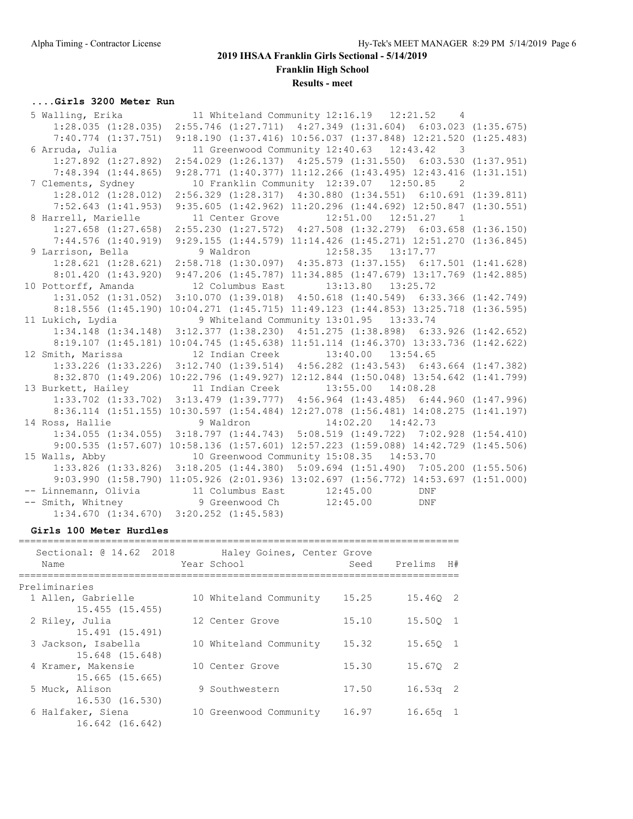**Results - meet**

### **....Girls 3200 Meter Run**

| 5 Walling, Erika                                       |                                                                                                 | 11 Whiteland Community 12:16.19  12:21.52  4 |                |  |
|--------------------------------------------------------|-------------------------------------------------------------------------------------------------|----------------------------------------------|----------------|--|
|                                                        | 1:28.035 (1:28.035) 2:55.746 (1:27.711) 4:27.349 (1:31.604) 6:03.023 (1:35.675)                 |                                              |                |  |
|                                                        | 7:40.774 (1:37.751) 9:18.190 (1:37.416) 10:56.037 (1:37.848) 12:21.520 (1:25.483)               |                                              |                |  |
| 6 Arruda, Julia                                        |                                                                                                 | 11 Greenwood Community 12:40.63  12:43.42  3 |                |  |
| $1:27.892$ $(1:27.892)$                                | 2:54.029 (1:26.137) 4:25.579 (1:31.550) 6:03.530 (1:37.951)                                     |                                              |                |  |
| $7:48.394$ $(1:44.865)$                                | $9:28.771$ (1:40.377) 11:12.266 (1:43.495) 12:43.416 (1:31.151)                                 |                                              |                |  |
| 7 Clements, Sydney                                     |                                                                                                 | 10 Franklin Community 12:39.07 12:50.85      | $\overline{2}$ |  |
|                                                        | 1:28.012 (1:28.012) 2:56.329 (1:28.317) 4:30.880 (1:34.551) 6:10.691 (1:39.811)                 |                                              |                |  |
|                                                        | 7:52.643 (1:41.953) 9:35.605 (1:42.962) 11:20.296 (1:44.692) 12:50.847 (1:30.551)               |                                              |                |  |
| 8 Harrell, Marielle                                    |                                                                                                 |                                              |                |  |
|                                                        | 1:27.658 (1:27.658) 2:55.230 (1:27.572) 4:27.508 (1:32.279) 6:03.658 (1:36.150)                 |                                              |                |  |
|                                                        | 7:44.576 (1:40.919) 9:29.155 (1:44.579) 11:14.426 (1:45.271) 12:51.270 (1:36.845)               |                                              |                |  |
| 9 Larrison, Bella                                      |                                                                                                 | 9 Waldron 12:58.35 13:17.77                  |                |  |
|                                                        | $1:28.621$ $(1:28.621)$ $2:58.718$ $(1:30.097)$ $4:35.873$ $(1:37.155)$ $6:17.501$ $(1:41.628)$ |                                              |                |  |
|                                                        | 8:01.420 (1:43.920) 9:47.206 (1:45.787) 11:34.885 (1:47.679) 13:17.769 (1:42.885)               |                                              |                |  |
| 10 Pottorff, Amanda 12 Columbus East 13:13.80 13:25.72 |                                                                                                 |                                              |                |  |
|                                                        | 1:31.052 (1:31.052) 3:10.070 (1:39.018) 4:50.618 (1:40.549) 6:33.366 (1:42.749)                 |                                              |                |  |
|                                                        | 8:18.556 (1:45.190) 10:04.271 (1:45.715) 11:49.123 (1:44.853) 13:25.718 (1:36.595)              |                                              |                |  |
|                                                        |                                                                                                 |                                              |                |  |
| 11 Lukich, Lydia                                       |                                                                                                 | 9 Whiteland Community 13:01.95  13:33.74     |                |  |
|                                                        | 1:34.148 (1:34.148) 3:12.377 (1:38.230) 4:51.275 (1:38.898) 6:33.926 (1:42.652)                 |                                              |                |  |
|                                                        | 8:19.107 (1:45.181) 10:04.745 (1:45.638) 11:51.114 (1:46.370) 13:33.736 (1:42.622)              |                                              |                |  |
| 12 Smith, Marissa                                      | 12 Indian Creek                                                                                 | 13:40.00 13:54.65                            |                |  |
|                                                        | 1:33.226 (1:33.226) 3:12.740 (1:39.514) 4:56.282 (1:43.543) 6:43.664 (1:47.382)                 |                                              |                |  |
|                                                        | 8:32.870 (1:49.206) 10:22.796 (1:49.927) 12:12.844 (1:50.048) 13:54.642 (1:41.799)              |                                              |                |  |
| 13 Burkett, Hailey 11 Indian Creek 13:55.00 14:08.28   |                                                                                                 |                                              |                |  |
|                                                        | 1:33.702 (1:33.702) 3:13.479 (1:39.777) 4:56.964 (1:43.485) 6:44.960 (1:47.996)                 |                                              |                |  |
|                                                        | 8:36.114 (1:51.155) 10:30.597 (1:54.484) 12:27.078 (1:56.481) 14:08.275 (1:41.197)              |                                              |                |  |
| 14 Ross, Hallie                                        | 9 Waldron                                                                                       | 14:02.20 14:42.73                            |                |  |
|                                                        | 1:34.055 (1:34.055) 3:18.797 (1:44.743) 5:08.519 (1:49.722) 7:02.928 (1:54.410)                 |                                              |                |  |
|                                                        | 9:00.535 (1:57.607) 10:58.136 (1:57.601) 12:57.223 (1:59.088) 14:42.729 (1:45.506)              |                                              |                |  |
| 15 Walls, Abby                                         |                                                                                                 | 10 Greenwood Community 15:08.35 14:53.70     |                |  |
|                                                        | 1:33.826 (1:33.826) 3:18.205 (1:44.380) 5:09.694 (1:51.490) 7:05.200 (1:55.506)                 |                                              |                |  |
|                                                        | 9:03.990 (1:58.790) 11:05.926 (2:01.936) 13:02.697 (1:56.772) 14:53.697 (1:51.000)              |                                              |                |  |
| -- Linnemann, Olivia 11 Columbus East 12:45.00 DNF     |                                                                                                 |                                              |                |  |
| -- Smith, Whitney 9 Greenwood Ch 12:45.00 DNF          | $1:34.670$ $(1:34.670)$ $3:20.252$ $(1:45.583)$                                                 |                                              |                |  |

### **Girls 100 Meter Hurdles**

|  |                                                                                                                                                   |                                                       | H#                                                   |
|--|---------------------------------------------------------------------------------------------------------------------------------------------------|-------------------------------------------------------|------------------------------------------------------|
|  |                                                                                                                                                   |                                                       |                                                      |
|  | 15.25                                                                                                                                             | 15.460 2                                              |                                                      |
|  |                                                                                                                                                   |                                                       |                                                      |
|  | 15.10                                                                                                                                             | 15.500 1                                              |                                                      |
|  |                                                                                                                                                   |                                                       |                                                      |
|  | 15.32                                                                                                                                             | 15.650 1                                              |                                                      |
|  |                                                                                                                                                   |                                                       |                                                      |
|  |                                                                                                                                                   |                                                       |                                                      |
|  |                                                                                                                                                   |                                                       |                                                      |
|  |                                                                                                                                                   |                                                       |                                                      |
|  |                                                                                                                                                   |                                                       |                                                      |
|  |                                                                                                                                                   |                                                       |                                                      |
|  |                                                                                                                                                   |                                                       |                                                      |
|  |                                                                                                                                                   |                                                       |                                                      |
|  | Year School<br>10 Whiteland Community<br>12 Center Grove<br>10 Whiteland Community<br>10 Center Grove<br>9 Southwestern<br>10 Greenwood Community | Haley Goines, Center Grove<br>15.30<br>17.50<br>16.97 | Seed Prelims<br>15.670 2<br>$16.53q$ 2<br>$16.65q$ 1 |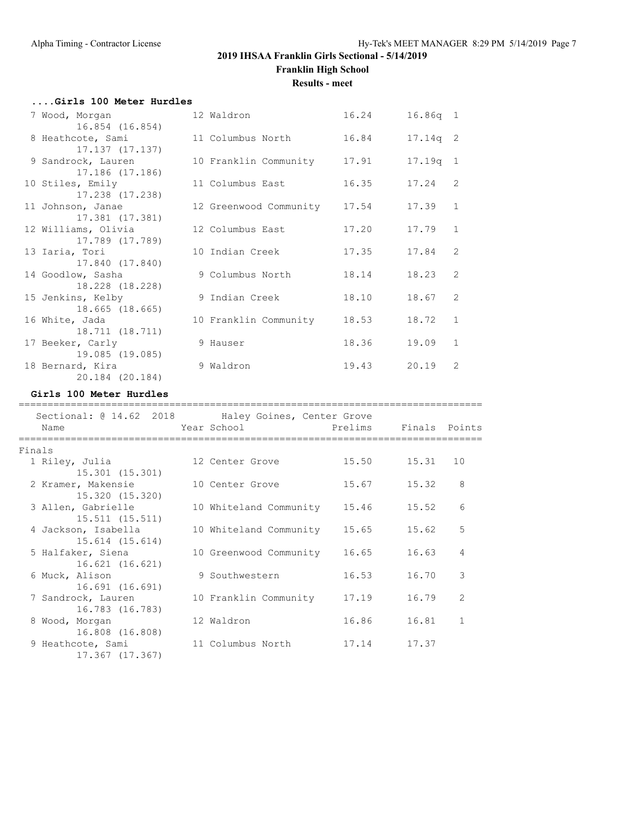#### **Results - meet**

| Girls 100 Meter Hurdles |                        |       |            |                |
|-------------------------|------------------------|-------|------------|----------------|
| 7 Wood, Morgan          | 12 Waldron             | 16.24 | $16.86q$ 1 |                |
| 16.854 (16.854)         |                        |       |            |                |
| 8 Heathcote, Sami       | 11 Columbus North      | 16.84 | $17.14q$ 2 |                |
| 17.137 (17.137)         |                        |       |            |                |
| 9 Sandrock, Lauren      | 10 Franklin Community  | 17.91 | 17.19q 1   |                |
| 17.186 (17.186)         |                        |       |            |                |
| 10 Stiles, Emily        | 11 Columbus East       | 16.35 | 17.24      | 2              |
| 17.238 (17.238)         |                        |       |            |                |
| 11 Johnson, Janae       | 12 Greenwood Community | 17.54 | 17.39      | $\mathbf{1}$   |
| 17.381 (17.381)         |                        |       |            |                |
| 12 Williams, Olivia     | 12 Columbus East       | 17.20 | 17.79      | $\mathbf{1}$   |
| 17.789 (17.789)         |                        |       |            |                |
| 13 Iaria, Tori          | 10 Indian Creek        | 17.35 | 17.84      | 2              |
| 17.840 (17.840)         |                        |       |            |                |
| 14 Goodlow, Sasha       | 9 Columbus North       | 18.14 | 18.23      | $\mathcal{L}$  |
| 18.228 (18.228)         |                        |       |            |                |
| 15 Jenkins, Kelby       | 9 Indian Creek         | 18.10 | 18.67      | $\mathcal{L}$  |
| 18.665 (18.665)         |                        |       |            |                |
| 16 White, Jada          | 10 Franklin Community  | 18.53 | 18.72      | $\mathbf{1}$   |
| 18.711 (18.711)         |                        |       |            |                |
| 17 Beeker, Carly        | 9 Hauser               | 18.36 | 19.09      | $\mathbf{1}$   |
| 19.085 (19.085)         |                        |       |            |                |
| 18 Bernard, Kira        | 9 Waldron              | 19.43 | 20.19      | $\mathfrak{D}$ |
| 20.184 (20.184)         |                        |       |            |                |

### **Girls 100 Meter Hurdles**

| Sectional: @ 14.62 2018 Haley Goines, Center Grove<br>Name |                              |       |       |                |
|------------------------------------------------------------|------------------------------|-------|-------|----------------|
| Finals                                                     |                              |       |       |                |
| 1 Riley, Julia                                             | 12 Center Grove              | 15.50 | 15.31 | 10             |
| 15.301 (15.301)                                            |                              |       |       |                |
| 2 Kramer, Makensie                                         | 10 Center Grove              | 15.67 | 15.32 | $\beta$        |
| 15.320 (15.320)                                            |                              |       |       |                |
| 3 Allen, Gabrielle                                         | 10 Whiteland Community 15.46 |       | 15.52 | 6              |
| 15.511(15.511)                                             |                              |       |       |                |
| 4 Jackson, Isabella                                        | 10 Whiteland Community       | 15.65 | 15.62 | 5              |
| 15.614 (15.614)                                            |                              |       |       |                |
| 5 Halfaker, Siena                                          | 10 Greenwood Community       | 16.65 | 16.63 | 4              |
| 16.621 (16.621)                                            |                              |       |       |                |
| 6 Muck, Alison                                             | 9 Southwestern               | 16.53 | 16.70 | 3              |
| 16.691 (16.691)                                            |                              |       |       |                |
| 7 Sandrock, Lauren                                         | 10 Franklin Community        | 17.19 | 16.79 | $\overline{2}$ |
| 16.783 (16.783)                                            |                              |       |       |                |
| 8 Wood, Morgan                                             | 12 Waldron                   | 16.86 | 16.81 | $\mathbf{1}$   |
| 16.808 (16.808)                                            |                              |       |       |                |
| 9 Heathcote, Sami                                          | 11 Columbus North            | 17.14 | 17.37 |                |
| 17.367 (17.367)                                            |                              |       |       |                |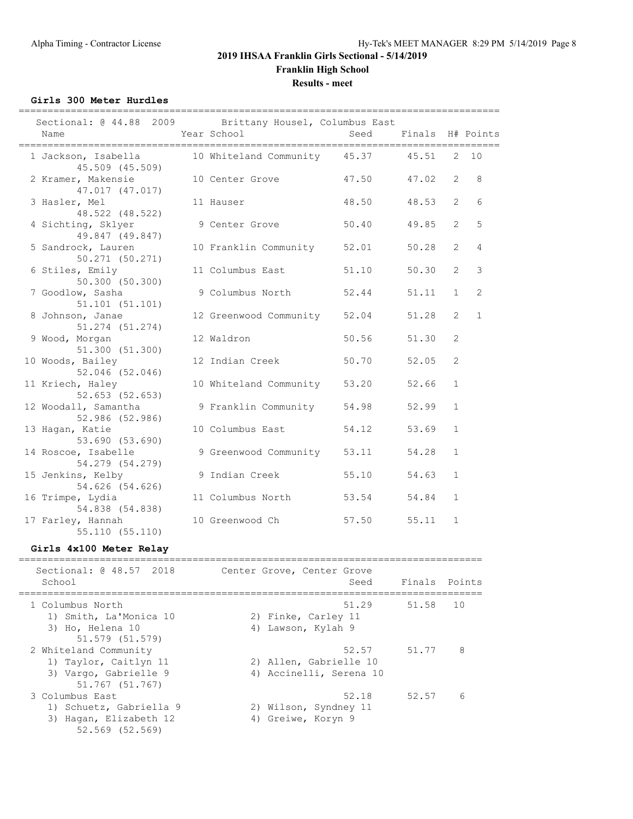**Results - meet**

**Girls 300 Meter Hurdles**

| Sectional: @ 44.88 2009 Brittany Housel, Columbus East<br>Name                                                                                                                                                                                                                                                                                                              | Year School                        | Seed        | Finals H# Points |                |              |
|-----------------------------------------------------------------------------------------------------------------------------------------------------------------------------------------------------------------------------------------------------------------------------------------------------------------------------------------------------------------------------|------------------------------------|-------------|------------------|----------------|--------------|
| 1 Jackson, Isabella<br>45.509 (45.509)                                                                                                                                                                                                                                                                                                                                      | 10 Whiteland Community 45.37 45.51 |             |                  |                | $2 - 10$     |
| 2 Kramer, Makensie<br>47.017 (47.017)                                                                                                                                                                                                                                                                                                                                       | 10 Center Grove                    | 47.50 47.02 |                  | $\overline{2}$ | 8            |
| 3 Hasler, Mel<br>48.522 (48.522)                                                                                                                                                                                                                                                                                                                                            | 11 Hauser                          | 48.50       | 48.53            | $\overline{2}$ | 6            |
| 4 Sichting, Sklyer<br>49.847 (49.847)                                                                                                                                                                                                                                                                                                                                       | 9 Center Grove                     | 50.40       | 49.85            | $\overline{2}$ | 5            |
| 5 Sandrock, Lauren<br>50.271(50.271)                                                                                                                                                                                                                                                                                                                                        | 10 Franklin Community 52.01        |             | 50.28            | $\overline{2}$ | 4            |
| 6 Stiles, Emily<br>50.300(50.300)                                                                                                                                                                                                                                                                                                                                           | 11 Columbus East 51.10             |             | 50.30            | 2              | 3            |
| 7 Goodlow, Sasha<br>51.101(51.101)                                                                                                                                                                                                                                                                                                                                          | 9 Columbus North                   | 52.44       | 51.11            | $\mathbf{1}$   | 2            |
| 8 Johnson, Janae<br>$51.274$ $(51.274)$                                                                                                                                                                                                                                                                                                                                     | 12 Greenwood Community 52.04       |             | 51.28            | $\overline{2}$ | $\mathbf{1}$ |
| 9 Wood, Morgan<br>51.300(51.300)                                                                                                                                                                                                                                                                                                                                            | 12 Waldron                         | 50.56       | 51.30            | 2              |              |
| 10 Woods, Bailey<br>52.046 (52.046)                                                                                                                                                                                                                                                                                                                                         | 12 Indian Creek                    | 50.70       | 52.05            | $\overline{2}$ |              |
| 11 Kriech, Haley<br>52.653(52.653)                                                                                                                                                                                                                                                                                                                                          | 10 Whiteland Community 53.20       |             | 52.66            | $\mathbf{1}$   |              |
| 12 Woodall, Samantha<br>52.986(52.986)                                                                                                                                                                                                                                                                                                                                      | 9 Franklin Community 54.98         |             | 52.99            | $\mathbf{1}$   |              |
| 13 Hagan, Katie<br>53.690 (53.690)                                                                                                                                                                                                                                                                                                                                          | 10 Columbus East                   | 54.12       | 53.69            | $\mathbf{1}$   |              |
| 14 Roscoe, Isabelle<br>54.279 (54.279)                                                                                                                                                                                                                                                                                                                                      | 9 Greenwood Community 53.11        |             | 54.28            | $\mathbf{1}$   |              |
| 15 Jenkins, Kelby<br>54.626 (54.626)                                                                                                                                                                                                                                                                                                                                        | 9 Indian Creek                     | 55.10       | 54.63            | $\mathbf{1}$   |              |
| 16 Trimpe, Lydia<br>54.838 (54.838)                                                                                                                                                                                                                                                                                                                                         | 11 Columbus North                  | 53.54       | 54.84            | $\mathbf{1}$   |              |
| 17 Farley, Hannah<br>55.110(55.110)                                                                                                                                                                                                                                                                                                                                         | 10 Greenwood Ch                    | 57.50 55.11 |                  | $\mathbf{1}$   |              |
| Girls 4x100 Meter Relay                                                                                                                                                                                                                                                                                                                                                     |                                    |             |                  |                |              |
| $\overline{1}$ $\overline{0}$ $\overline{10}$ $\overline{0}$ $\overline{10}$ $\overline{0}$ $\overline{10}$ $\overline{0}$ $\overline{10}$ $\overline{0}$ $\overline{10}$ $\overline{0}$ $\overline{10}$ $\overline{0}$ $\overline{10}$ $\overline{10}$ $\overline{0}$ $\overline{10}$ $\overline{0}$ $\overline{10}$ $\overline{0}$ $\overline{10}$ $\overline{0}$ $\over$ |                                    |             |                  |                |              |

| Sectional: @ 48.57 2018<br>School | Center Grove, Center Grove<br>Seed | Finals Points |    |
|-----------------------------------|------------------------------------|---------------|----|
| 1 Columbus North                  | 51.29                              | 51.58         | 10 |
| 1) Smith, La'Monica 10            | 2) Finke, Carley 11                |               |    |
| 3) Ho, Helena 10                  | 4) Lawson, Kylah 9                 |               |    |
| 51.579 (51.579)                   |                                    |               |    |
| 2 Whiteland Community             | 52.57                              | 51.77         | 8  |
| 1) Taylor, Caitlyn 11             | 2) Allen, Gabrielle 10             |               |    |
| 3) Vargo, Gabrielle 9             | 4) Accinelli, Serena 10            |               |    |
| 51.767 (51.767)                   |                                    |               |    |
| 3 Columbus East                   | 52.18                              | 52.57         | 6  |
| 1) Schuetz, Gabriella 9           | 2) Wilson, Syndney 11              |               |    |
| 3) Hagan, Elizabeth 12            | 4) Greiwe, Koryn 9                 |               |    |
| 52.569 (52.569)                   |                                    |               |    |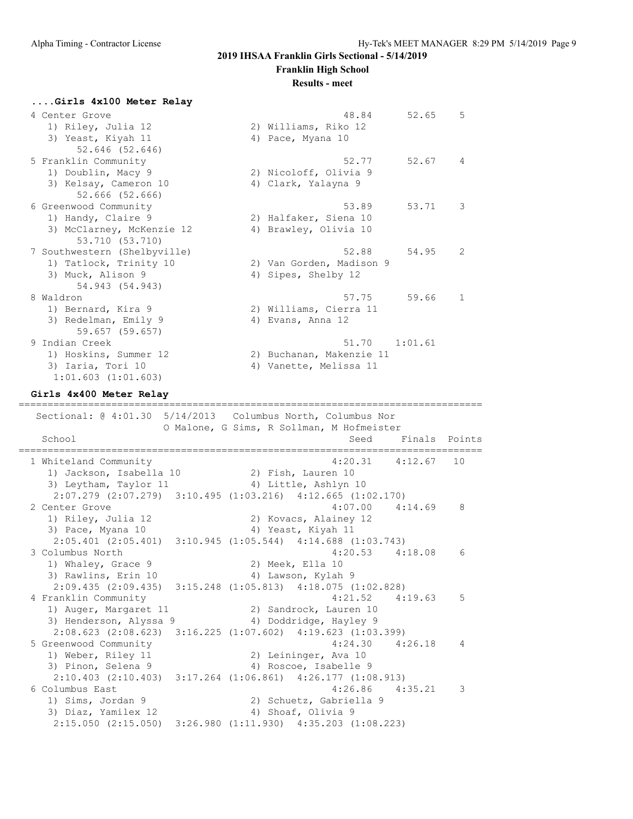**Franklin High School**

#### **Results - meet**

**....Girls 4x100 Meter Relay** 4 Center Grove 48.84 52.65 5 1) Riley, Julia 12 2) Williams, Riko 12 3) Yeast, Kiyah 11 4) Pace, Myana 10 52.646 (52.646) 5 Franklin Community 52.77 52.67 4 1) Doublin, Macy 9 2) Nicoloff, Olivia 9 3) Kelsay, Cameron 10 4) Clark, Yalayna 9 52.666 (52.666) 6 Greenwood Community 53.89 53.71 3 1) Handy, Claire 9 2) Halfaker, Siena 10 3) McClarney, McKenzie 12 4) Brawley, Olivia 10 53.710 (53.710) 7 Southwestern (Shelbyville) 52.88 54.95 2 1) Tatlock, Trinity 10 2) Van Gorden, Madison 9 3) Muck, Alison 9 4) Sipes, Shelby 12 54.943 (54.943) 8 Waldron 57.75 59.66 1 1) Bernard, Kira 9 2) Williams, Cierra 11 3) Redelman, Emily 9 4) Evans, Anna 12 59.657 (59.657) 9 Indian Creek 51.70 1:01.61 1) Hoskins, Summer 12 2) Buchanan, Makenzie 11 3) Iaria, Tori 10  $\hspace{1cm}$  4) Vanette, Melissa 11 1:01.603 (1:01.603) **Girls 4x400 Meter Relay** ================================================================================ Sectional: @ 4:01.30 5/14/2013 Columbus North, Columbus Nor O Malone, G Sims, R Sollman, M Hofmeister School Seed Finals Points Seed Finals Points Seed Finals Points Seed Finals Points Seed Finals Points Seed Finals Points Seed Finals Points Seed Finals Points Seed Finals Points Seed Finals Points Seed Finals Points Seed F ================================================================================ 1 Whiteland Community 1) Jackson, Isabella 10 2) Fish, Lauren 10 3) Leytham, Taylor 11 (4) Little, Ashlyn 10 2:07.279 (2:07.279) 3:10.495 (1:03.216) 4:12.665 (1:02.170) 2 Center Grove 4:07.00 4:14.69 8 1) Riley, Julia 12 2) Kovacs, Alainey 12 3) Pace, Myana 10 4) Yeast, Kiyah 11 2:05.401 (2:05.401) 3:10.945 (1:05.544) 4:14.688 (1:03.743) 3 Columbus North 4:20.53 4:18.08 6 1) Whaley, Grace 9 2) Meek, Ella 10 3) Rawlins, Erin 10 4) Lawson, Kylah 9 2:09.435 (2:09.435) 3:15.248 (1:05.813) 4:18.075 (1:02.828)<br>4 Franklin Community 4:21.52 4:19 4 Franklin Community 4:21.52 4:19.63 5 1) Auger, Margaret 11 2) Sandrock, Lauren 10 3) Henderson, Alyssa 9  $\hskip 1.5 cm 4$ ) Doddridge, Hayley 9 2:08.623 (2:08.623) 3:16.225 (1:07.602) 4:19.623 (1:03.399) 5 Greenwood Community 4:24.30 4:26.18 4 1) Weber, Riley 11 2) Leininger, Ava 10 3) Pinon, Selena 9 4) Roscoe, Isabelle 9 2:10.403 (2:10.403) 3:17.264 (1:06.861) 4:26.177 (1:08.913) 6 Columbus East 4:26.86 4:35.21 3 1) Sims, Jordan 9 2) Schuetz, Gabriella 9

3) Diaz, Yamilex 12 4) Shoaf, Olivia 9

2:15.050 (2:15.050) 3:26.980 (1:11.930) 4:35.203 (1:08.223)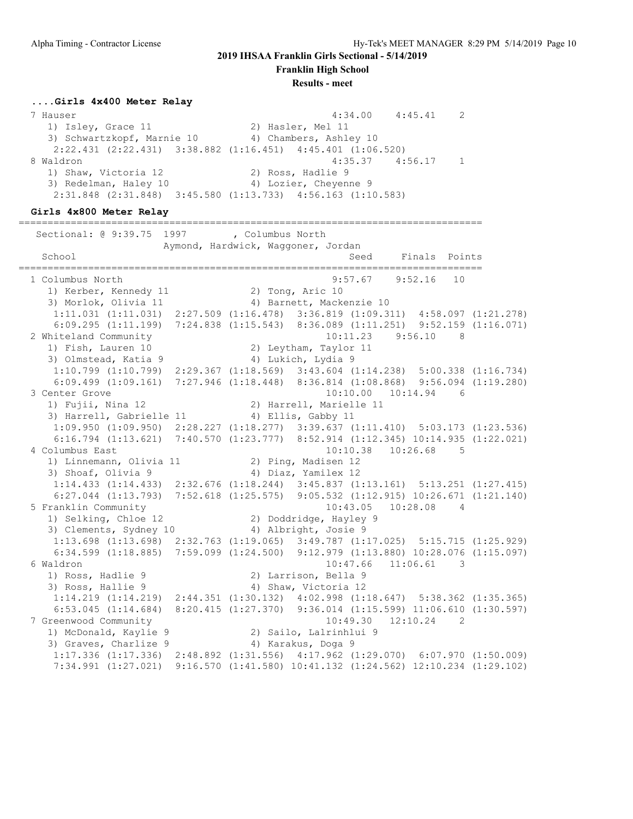**Franklin High School**

**Results - meet**

#### **....Girls 4x400 Meter Relay**

 7 Hauser 4:34.00 4:45.41 2 1) Isley, Grace 11 2) Hasler, Mel 11 3) Schwartzkopf, Marnie 10 4) Chambers, Ashley 10 2:22.431 (2:22.431) 3:38.882 (1:16.451) 4:45.401 (1:06.520) 8 Waldron 4:35.37 4:56.17 1 1) Shaw, Victoria 12 2) Ross, Hadlie 9 3) Redelman, Haley 10 4) Lozier, Cheyenne 9 2:31.848 (2:31.848) 3:45.580 (1:13.733) 4:56.163 (1:10.583)

================================================================================

#### **Girls 4x800 Meter Relay**

Sectional: @ 9:39.75 1997 , Columbus North Aymond, Hardwick, Waggoner, Jordan School School Seed Finals Points ================================================================================ 1 Columbus North 9:57.67 9:52.16 10 1) Kerber, Kennedy 11 2) Tong, Aric 10 3) Morlok, Olivia 11 4) Barnett, Mackenzie 10 1:11.031 (1:11.031) 2:27.509 (1:16.478) 3:36.819 (1:09.311) 4:58.097 (1:21.278) 6:09.295 (1:11.199) 7:24.838 (1:15.543) 8:36.089 (1:11.251) 9:52.159 (1:16.071) 2 Whiteland Community 10:11.23 9:56.10 8<br>1) Fish, Lauren 10 2) Leytham, Taylor 11 1) Fish, Lauren 10 2) Leytham, Taylor 11 3) Olmstead, Katia 9 1920 1200 1201 4) Lukich, Lydia 9 1:10.799 (1:10.799) 2:29.367 (1:18.569) 3:43.604 (1:14.238) 5:00.338 (1:16.734) 6:09.499 (1:09.161) 7:27.946 (1:18.448) 8:36.814 (1:08.868) 9:56.094 (1:19.280) 3 Center Grove 10:10.00 10:14.94 6 1) Fujii, Nina 12 2) Harrell, Marielle 11 3) Harrell, Gabrielle 11 (4) Ellis, Gabby 11 1:09.950 (1:09.950) 2:28.227 (1:18.277) 3:39.637 (1:11.410) 5:03.173 (1:23.536) 6:16.794 (1:13.621) 7:40.570 (1:23.777) 8:52.914 (1:12.345) 10:14.935 (1:22.021) 4 Columbus East 10:10.38 10:26.68 5 1) Linnemann, Olivia 11 2) Ping, Madisen 12 3) Shoaf, Olivia 9 4) Diaz, Yamilex 12 1:14.433 (1:14.433) 2:32.676 (1:18.244) 3:45.837 (1:13.161) 5:13.251 (1:27.415) 6:27.044 (1:13.793) 7:52.618 (1:25.575) 9:05.532 (1:12.915) 10:26.671 (1:21.140) 5 Franklin Community 10:43.05 10:28.08 4 1) Selking, Chloe 12 2) Doddridge, Hayley 9 3) Clements, Sydney 10 (4) Albright, Josie 9 1:13.698 (1:13.698) 2:32.763 (1:19.065) 3:49.787 (1:17.025) 5:15.715 (1:25.929) 6:34.599 (1:18.885) 7:59.099 (1:24.500) 9:12.979 (1:13.880) 10:28.076 (1:15.097) 6 Waldron 10:47.66 11:06.61 3 1) Ross, Hadlie 9 2) Larrison, Bella 9 3) Ross, Hallie 9 4) Shaw, Victoria 12 1:14.219 (1:14.219) 2:44.351 (1:30.132) 4:02.998 (1:18.647) 5:38.362 (1:35.365) 6:53.045 (1:14.684) 8:20.415 (1:27.370) 9:36.014 (1:15.599) 11:06.610 (1:30.597) 7 Greenwood Community 10:49.30 12:10.24 2 1) McDonald, Kaylie 9 2) Sailo, Lalrinhlui 9 3) Graves, Charlize 9 4) Karakus, Doga 9 1:17.336 (1:17.336) 2:48.892 (1:31.556) 4:17.962 (1:29.070) 6:07.970 (1:50.009) 7:34.991 (1:27.021) 9:16.570 (1:41.580) 10:41.132 (1:24.562) 12:10.234 (1:29.102)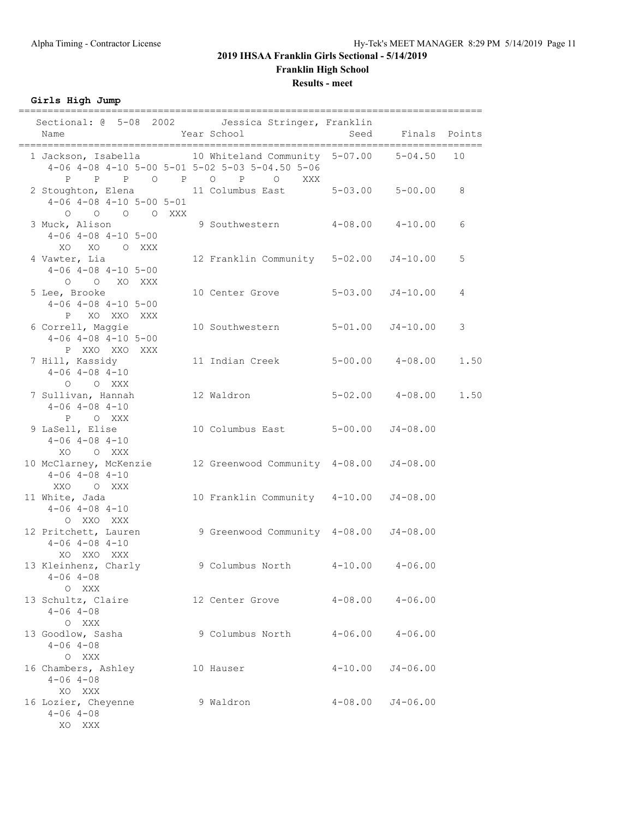**Results - meet**

**Girls High Jump**

| Sectional: @ 5-08 2002    Jessica Stringer, Franklin<br>Year School<br>Name                                                                 | Seed Finals Points                     |             |                      |      |
|---------------------------------------------------------------------------------------------------------------------------------------------|----------------------------------------|-------------|----------------------|------|
| 1 Jackson, Isabella 10 Whiteland Community 5-07.00 5-04.50 10<br>$4-06$ $4-08$ $4-10$ $5-00$ $5-01$ $5-02$ $5-03$ $5-04.50$ $5-06$          |                                        |             |                      |      |
| P P P O P O P O XXX<br>2 Stoughton, Elena 11 Columbus East 5-03.00 5-00.00 8<br>$4-06$ $4-08$ $4-10$ $5-00$ $5-01$<br>$O$ $O$ $O$ $O$ $XXX$ |                                        |             |                      |      |
| 3 Muck, Alison 9 Southwestern 4-08.00 4-10.00<br>$4-06$ $4-08$ $4-10$ $5-00$<br>XO XO O XXX                                                 |                                        |             |                      | 6    |
| 4 Vawter, Lia<br>$4-06$ $4-08$ $4-10$ $5-00$<br>O O XO XXX                                                                                  | 12 Franklin Community 5-02.00 J4-10.00 |             |                      | 5    |
| 5 Lee, Brooke<br>$4-06$ $4-08$ $4-10$ $5-00$<br>P XO XXO XXX                                                                                | 10 Center Grove 5-03.00                |             | $J4 - 10.00$         | 4    |
| 6 Correll, Maggie<br>$4-06$ $4-08$ $4-10$ $5-00$<br>P XXO XXO XXX                                                                           | 10 Southwestern 5-01.00 J4-10.00       |             |                      | 3    |
| 7 Hill, Kassidy<br>$4 - 06$ $4 - 08$ $4 - 10$<br>O O XXX                                                                                    | 11 Indian Creek 5-00.00 4-08.00        |             |                      | 1.50 |
| 7 Sullivan, Hannah<br>$4 - 06$ $4 - 08$ $4 - 10$<br>P O XXX                                                                                 | 12 Waldron 5-02.00 4-08.00             |             |                      | 1.50 |
| 9 LaSell, Elise<br>$4-06$ $4-08$ $4-10$<br>XO OXXX                                                                                          | 10 Columbus East 5-00.00 J4-08.00      |             |                      |      |
| 10 McClarney, McKenzie 12 Greenwood Community 4-08.00 J4-08.00<br>$4 - 06$ $4 - 08$ $4 - 10$<br>XXO O XXX                                   |                                        |             |                      |      |
| 11 White, Jada<br>$4 - 06$ $4 - 08$ $4 - 10$<br>O XXO XXX                                                                                   | 10 Franklin Community 4-10.00 J4-08.00 |             |                      |      |
| 12 Pritchett, Lauren<br>$4 - 06$ $4 - 08$ $4 - 10$<br>XO XXO XXX                                                                            | 9 Greenwood Community 4-08.00 J4-08.00 |             |                      |      |
| 13 Kleinhenz, Charly<br>$4 - 06$ $4 - 08$<br>O XXX                                                                                          | 9 Columbus North                       |             | $4-10.00$ $4-06.00$  |      |
| 13 Schultz, Claire<br>$4 - 06$ $4 - 08$<br>O XXX                                                                                            | 12 Center Grove 4-08.00 4-06.00        |             |                      |      |
| 13 Goodlow, Sasha<br>$4 - 06$ $4 - 08$<br>O XXX                                                                                             | 9 Columbus North 4-06.00 4-06.00       |             |                      |      |
| 16 Chambers, Ashley<br>$4 - 06$ $4 - 08$<br>XO XXX                                                                                          | 10 Hauser                              | $4 - 10.00$ | $J4 - 06.00$         |      |
| 16 Lozier, Cheyenne<br>$4 - 06$ $4 - 08$<br>XO XXX                                                                                          | 9 Waldron                              |             | $4-08.00$ $J4-06.00$ |      |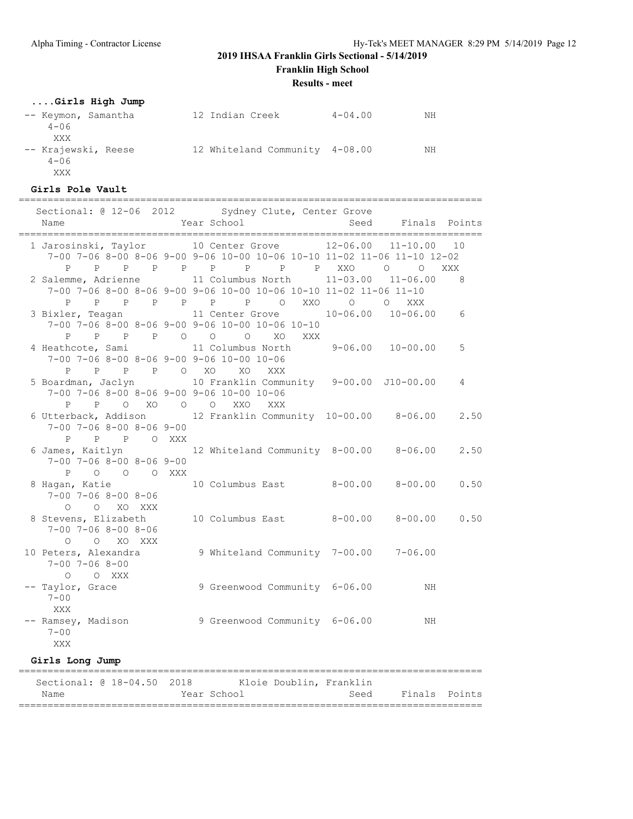**Franklin High School**

**Results - meet**

### **....Girls High Jump**

| -- Keymon, Samantha | 12 Indian Creek                | $4 - 04.00$ | NΗ |
|---------------------|--------------------------------|-------------|----|
| $4 - 06$<br>XXX     |                                |             |    |
| -- Krajewski, Reese | 12 Whiteland Community 4-08.00 |             | NΗ |
| $4 - 06$            |                                |             |    |
| XXX                 |                                |             |    |

### **Girls Pole Vault**

================================================================================  $S_{\text{Vdnon}}$  Clu

| Name                                                             | Sectional: 0 12-06 2012 Sydney Clute, Center Grove<br>Year School                                                                                       |             | Seed Finals Points       |                |
|------------------------------------------------------------------|---------------------------------------------------------------------------------------------------------------------------------------------------------|-------------|--------------------------|----------------|
|                                                                  | 1 Jarosinski, Taylor 10 Center Grove 12-06.00<br>7-00 7-06 8-00 8-06 9-00 9-06 10-00 10-06 10-10 11-02 11-06 11-10 12-02                                |             | $11 - 10.00$             | 10             |
| $P \qquad \qquad$                                                | P P P P P P P P XXO O O<br>2 Salemme, Adrienne 11 Columbus North 11-03.00 11-06.00<br>7-00 7-06 8-00 8-06 9-00 9-06 10-00 10-06 10-10 11-02 11-06 11-10 |             |                          | XXX<br>8       |
| P<br>3 Bixler, Teagan                                            | $\overline{O}$                                                                                                                                          | XXO O O XXX |                          |                |
| P P P O O<br>P                                                   | 7-00 7-06 8-00 8-06 9-00 9-06 10-00 10-06 10-10<br>$\circ$<br>XO<br>XXX                                                                                 |             |                          |                |
| 4 Heathcote, Sami                                                | 11 Columbus North 9-06.00 10-00.00<br>7-00 7-06 8-00 8-06 9-00 9-06 10-00 10-06                                                                         |             |                          | 5              |
| P P P O XO<br>$\mathbf{P}$                                       | XO<br>XXX<br>5 Boardman, Jaclyn 10 Franklin Community 9-00.00 J10-00.00<br>7-00 7-06 8-00 8-06 9-00 9-06 10-00 10-06                                    |             |                          | $\overline{4}$ |
| $7-00$ $7-06$ $8-00$ $8-06$ $9-00$                               | P P O XO O O XXO<br>XXX<br>6 Utterback, Addison 12 Franklin Community 10-00.00 8-06.00                                                                  |             |                          | 2.50           |
| P P P O XXX<br>6 James, Kaitlyn                                  | 12 Whiteland Community 8-00.00 8-06.00                                                                                                                  |             |                          | 2.50           |
| $7-00$ $7-06$ $8-00$ $8-06$ $9-00$<br>P O O O XXX                |                                                                                                                                                         |             |                          |                |
| $7 - 00$ $7 - 06$ $8 - 00$ $8 - 06$<br>O XO XXX<br>$\circ$       | 8 Hagan, Katie (10 Columbus East (8-00.00 (8-00.00 0.50)                                                                                                |             |                          |                |
| 8 Stevens, Elizabeth<br>$7 - 00$ $7 - 06$ $8 - 00$ $8 - 06$      | 10 Columbus East 8-00.00 8-00.00 0.50                                                                                                                   |             |                          |                |
| O O XO XXX<br>10 Peters, Alexandra<br>$7 - 00$ $7 - 06$ $8 - 00$ | 9 Whiteland Community 7-00.00 7-06.00                                                                                                                   |             |                          |                |
| $O$ $O$ XXX<br>-- Taylor, Grace<br>$7 - 00$                      | 9 Greenwood Community 6-06.00                                                                                                                           |             | ΝH                       |                |
| <b>XXX</b><br>-- Ramsey, Madison<br>$7 - 00$<br>XXX              | 9 Greenwood Community 6-06.00                                                                                                                           |             | ΝH                       |                |
| Girls Long Jump                                                  |                                                                                                                                                         |             | ------------------------ |                |
|                                                                  | ;===========================<br>Sectional: @ 18-04.50 2018 Kloie Doublin, Franklin                                                                      |             |                          |                |
| Name                                                             | Year School Near                                                                                                                                        | Seed        |                          | Finals Points  |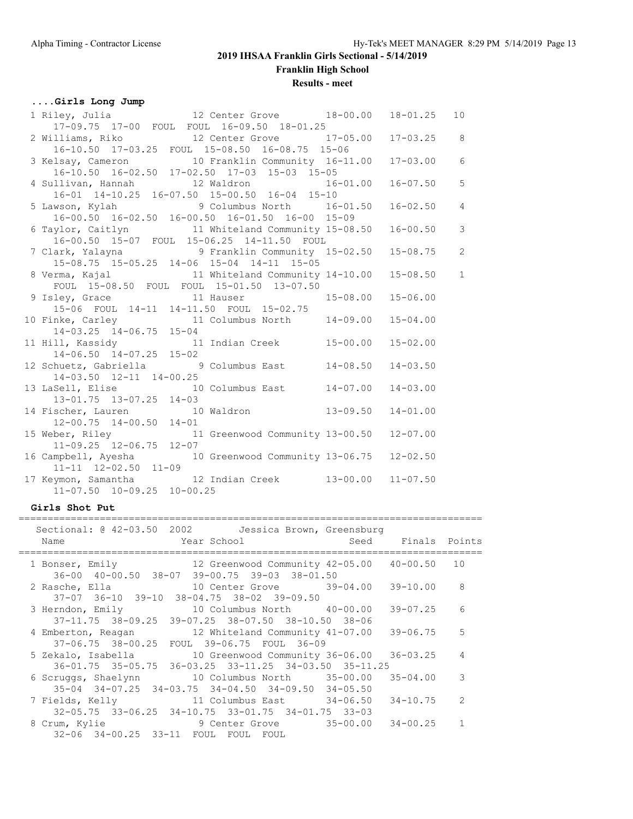**Franklin High School**

**Results - meet**

### **....Girls Long Jump**

| 1 Riley, Julia 12 Center Grove 18-00.00 18-01.25 10                                                 |                                                 |                |                |
|-----------------------------------------------------------------------------------------------------|-------------------------------------------------|----------------|----------------|
|                                                                                                     | 17-09.75 17-00 FOUL FOUL 16-09.50 18-01.25      |                |                |
| 2 Williams, Riko 12 Center Grove 17-05.00 17-03.25 8                                                |                                                 |                |                |
|                                                                                                     | 16-10.50 17-03.25 FOUL 15-08.50 16-08.75 15-06  |                |                |
| 3 Kelsay, Cameron 10 Franklin Community 16-11.00<br>16-10.50 16-02.50 17-02.50 17-03 15-03 15-05    |                                                 | $17 - 03.00$ 6 |                |
|                                                                                                     |                                                 |                |                |
| 4 Sullivan, Hannah 12 Waldron 16-01.00                                                              |                                                 | $16 - 07.50$   | 5              |
|                                                                                                     | 16-01 14-10.25 16-07.50 15-00.50 16-04 15-10    |                |                |
| 5 Lawson, Kylah 9 Columbus North 16-01.50                                                           |                                                 | $16 - 02.50$   | $\overline{4}$ |
|                                                                                                     | 16-00.50 16-02.50 16-00.50 16-01.50 16-00 15-09 |                |                |
| 6 Taylor, Caitlyn 11 Whiteland Community 15-08.50                                                   |                                                 | $16 - 00.50$   | $\mathcal{S}$  |
|                                                                                                     | 16-00.50 15-07 FOUL 15-06.25 14-11.50 FOUL      |                |                |
| 7 Clark, Yalayna (2008) 9 Franklin Community 15-02.50 15-08.75 2                                    |                                                 |                |                |
| 15-08.75 15-05.25 14-06 15-04 14-11 15-05                                                           |                                                 |                |                |
| 8 Verma, Kajal 11 Whiteland Community 14-10.00 15-08.50 1 FOUL 15-08.50 FOUL FOUL 15-01.50 13-07.50 |                                                 |                |                |
|                                                                                                     |                                                 |                |                |
| 9 Isley, Grace 11 Hauser 15-08.00 15-06.00                                                          |                                                 |                |                |
|                                                                                                     | 15-06 FOUL 14-11 14-11.50 FOUL 15-02.75         |                |                |
| 10 Finke, Carley 11 Columbus North 14-09.00                                                         |                                                 | $15 - 04.00$   |                |
| $14-03.25$ $14-06.75$ $15-04$                                                                       |                                                 |                |                |
| 11 Hill, Kassidy 11 Indian Creek 15-00.00                                                           |                                                 | $15 - 02.00$   |                |
| $14-06.50$ $14-07.25$ $15-02$                                                                       |                                                 |                |                |
| 12 Schuetz, Gabriella (3) 9 Columbus East 14-08.50 14-03.50                                         |                                                 |                |                |
| 14-03.50 12-11 14-00.25                                                                             |                                                 |                |                |
| 13 LaSell, Elise 10 Columbus East 14-07.00                                                          |                                                 | $14 - 03.00$   |                |
| $13 - 01.75$ $13 - 07.25$ $14 - 03$                                                                 |                                                 |                |                |
| 14 Fischer, Lauren 10 Waldron 13-09.50 14-01.00                                                     |                                                 |                |                |
| $12-00.75$ $14-00.50$ $14-01$                                                                       |                                                 |                |                |
| 15 Weber, Riley 11 Greenwood Community 13-00.50 12-07.00                                            |                                                 |                |                |
| $11-09.25$ $12-06.75$ $12-07$                                                                       |                                                 |                |                |
| 16 Campbell, Ayesha 10 Greenwood Community 13-06.75 12-02.50                                        |                                                 |                |                |
| 11-11 12-02.50 11-09                                                                                |                                                 |                |                |
| 17 Keymon, Samantha (12 Indian Creek 13-00.00 11-07.50)                                             |                                                 |                |                |
| 11-07.50 10-09.25 10-00.25                                                                          |                                                 |                |                |

#### **Girls Shot Put**

| Sectional: @ 42-03.50 2002    Uessica Brown, Greensburg<br>Example of the Year School<br>Name                    | Seed Finals Points |                |
|------------------------------------------------------------------------------------------------------------------|--------------------|----------------|
| 1 Bonser, Emily 12 Greenwood Community 42-05.00 40-00.50<br>36-00 40-00.50 38-07 39-00.75 39-03 38-01.50         |                    | 10             |
| 2 Rasche, Ella                 10 Center Grove         39-04.00<br>37-07 36-10 39-10 38-04.75 38-02 39-09.50     | 39-10.00 8         |                |
| 3 Herndon, Emily 10 Columbus North 40-00.00<br>$37-11.75$ $38-09.25$ $39-07.25$ $38-07.50$ $38-10.50$ $38-06$    | 39-07.25           | 6              |
| 4 Emberton, Reagan 12 Whiteland Community 41-07.00<br>37-06.75 38-00.25 FOUL 39-06.75 FOUL 36-09                 | 39-06.75           | 5              |
| $36-01.75$ $35-05.75$ $36-03.25$ $33-11.25$ $34-03.50$ $35-11.25$                                                |                    | $\overline{4}$ |
| 6 Scruggs, Shaelynn 10 Columbus North 35-00.00<br>$35-04$ $34-07.25$ $34-03.75$ $34-04.50$ $34-09.50$ $34-05.50$ | 35-04.00           | 3              |
| 7 Fields, Kelly 11 Columbus East 34-06.50<br>32-05.75 33-06.25 34-10.75 33-01.75 34-01.75 33-03                  | 34-10.75           | $\mathcal{P}$  |
| 8 Crum, Kylie 35-00.00<br>32-06 34-00.25 33-11 FOUL FOUL<br>FOUL                                                 | 34-00.25           | $\mathbf{1}$   |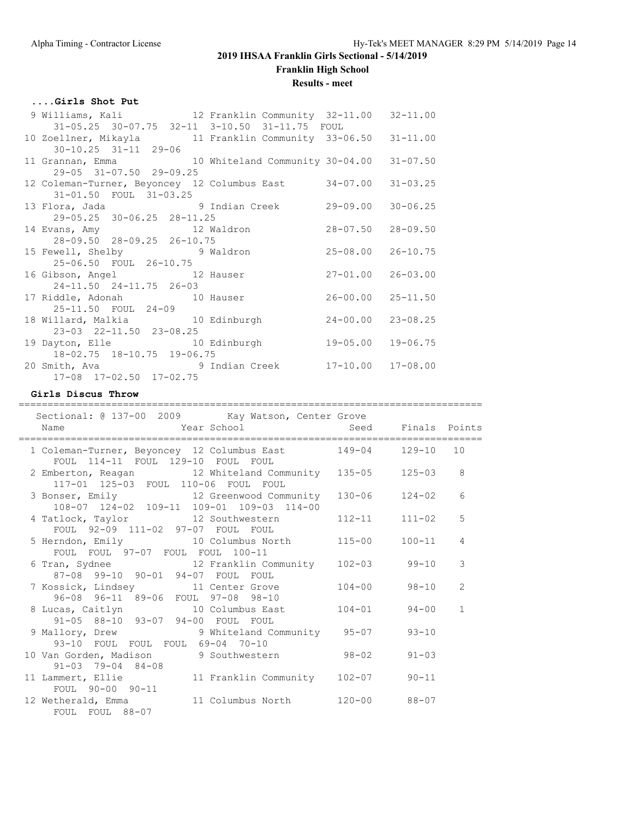**Results - meet**

#### **....Girls Shot Put**

| 9 Williams, Kali 12 Franklin Community 32-11.00 32-11.00       |  |                           |  |
|----------------------------------------------------------------|--|---------------------------|--|
| 31-05.25 30-07.75 32-11 3-10.50 31-11.75 FOUL                  |  |                           |  |
| 10 Zoellner, Mikayla 11 Franklin Community 33-06.50 31-11.00   |  |                           |  |
| $30 - 10.25$ $31 - 11$ $29 - 06$                               |  |                           |  |
| 11 Grannan, Emma 10 Whiteland Community 30-04.00 31-07.50      |  |                           |  |
| 29-05 31-07.50 29-09.25                                        |  |                           |  |
| 12 Coleman-Turner, Beyoncey 12 Columbus East 34-07.00 31-03.25 |  |                           |  |
| 31-01.50 FOUL 31-03.25                                         |  |                           |  |
| 13 Flora, Jada 19 Indian Creek                                 |  | $29 - 09.00$ $30 - 06.25$ |  |
| 29-05.25 30-06.25 28-11.25                                     |  |                           |  |
| 14 Evans, Amy 12 Waldron 28-07.50 28-09.50                     |  |                           |  |
| 28-09.50 28-09.25 26-10.75                                     |  |                           |  |
| 15 Fewell, Shelby 9 Waldron                                    |  | 25-08.00 26-10.75         |  |
| 25-06.50 FOUL 26-10.75                                         |  |                           |  |
| 16 Gibson, Angel 12 Hauser                                     |  | 27-01.00 26-03.00         |  |
| 24-11.50 24-11.75 26-03                                        |  |                           |  |
| 17 Riddle, Adonah 10 Hauser                                    |  | $26 - 00.00$ $25 - 11.50$ |  |
| 25-11.50 FOUL 24-09                                            |  |                           |  |
| 18 Willard, Malkia 10 Edinburgh                                |  | $24 - 00.00$ $23 - 08.25$ |  |
| 23-03 22-11.50 23-08.25                                        |  |                           |  |
| 19 Dayton, Elle 10 Edinburgh                                   |  | 19-05.00 19-06.75         |  |
| 18-02.75 18-10.75 19-06.75                                     |  |                           |  |
|                                                                |  |                           |  |
| 17-08 17-02.50 17-02.75                                        |  |                           |  |

#### **Girls Discus Throw**

| Sectional: @ 137-00 2009 Kay Watson, Center Grove                                                 |            |                |
|---------------------------------------------------------------------------------------------------|------------|----------------|
| Year School Mean Seed Finals Points<br>Name                                                       |            |                |
| 1 Coleman-Turner, Beyoncey 12 Columbus East 149-04 129-10 10<br>FOUL 114-11 FOUL 129-10 FOUL FOUL |            |                |
| 2 Emberton, Reagan 12 Whiteland Community 135-05<br>117-01 125-03 FOUL 110-06 FOUL FOUL           | $125 - 03$ | 8              |
| 3 Bonser, Emily 12 Greenwood Community 130-06 124-02<br>108-07 124-02 109-11 109-01 109-03 114-00 |            | 6              |
| 4 Tatlock, Taylor 12 Southwestern 112-11<br>FOUL 92-09 111-02 97-07 FOUL FOUL                     | $111 - 02$ | 5              |
| 5 Herndon, Emily 10 Columbus North 115-00<br>FOUL FOUL 97-07 FOUL FOUL 100-11                     | $100 - 11$ | $\overline{4}$ |
| 6 Tran, Sydnee 12 Franklin Community 102-03 99-10<br>87-08 99-10 90-01 94-07 FOUL FOUL            |            | 3              |
| 7 Kossick, Lindsey 11 Center Grove 104-00 98-10<br>96-08 96-11 89-06 FOUL 97-08 98-10             |            | $\mathcal{L}$  |
| 8 Lucas, Caitlyn 10 Columbus East 104-01 94-00<br>91-05 88-10 93-07 94-00 FOUL FOUL               |            | $\mathbf{1}$   |
| 9 Mallory, Drew 9 Whiteland Community 95-07<br>93-10 FOUL FOUL FOUL 69-04 70-10                   | $93 - 10$  |                |
| 10 Van Gorden, Madison 9 Southwestern 98-02 91-03<br>$91 - 03$ 79-04 84-08                        |            |                |
| 11 Lammert, Ellie 11 Franklin Community 102-07 90-11<br>FOUL 90-00 90-11                          |            |                |
| 12 Wetherald, Emma 11 Columbus North 120-00 88-07<br>FOUL FOUL 88-07                              |            |                |